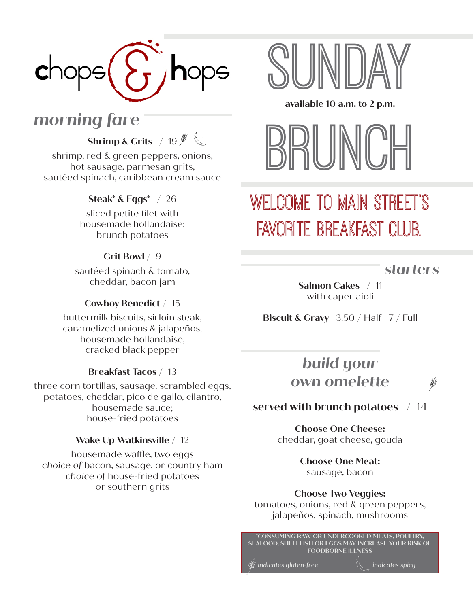

**Shrimp & Grits** / 19

shrimp, red & green peppers, onions, hot sausage, parmesan grits, sautéed spinach, caribbean cream sauce

### **Steak\* & Eggs\*** / 26

sliced petite filet with housemade hollandaise; brunch potatoes

#### **Grit Bowl** / 9

sautéed spinach & tomato, cheddar, bacon jam

#### **Cowboy Benedict** / 15

buttermilk biscuits, sirloin steak, caramelized onions & jalapeños, housemade hollandaise, cracked black pepper

#### **Breakfast Tacos** / 13

three corn tortillas, sausage, scrambled eggs, potatoes, cheddar, pico de gallo, cilantro, housemade sauce; house-fried potatoes

#### **Wake Up Watkinsville** / 12

housemade waffle, two eggs *choice of* bacon, sausage, or country ham *choice of* house-fried potatoes or southern grits



#### **available 10 a.m. to 2 p.m.**



# WELCOME TO MAIN STREET'S favorite breakfast club.

*starters*

**Salmon Cakes** / 11 with caper aioli

**Biscuit & Gravy** 3.50 / Half 7 / Full

### *build your own omelette*

### **served with brunch potatoes** / 14

**Choose One Cheese:**  cheddar, goat cheese, gouda

> **Choose One Meat:**  sausage, bacon

**Choose Two Veggies:** 

tomatoes, onions, red & green peppers, jalapeños, spinach, mushrooms

**\*CONSUMING RAW OR UNDERCOOKED MEATS, POULTRY, SEAFOOD, SHELLFISH OR EGGS MAY INCREASE YOUR RISK OF FOODBORNE ILLNESS**

*indicates gluten-free* indicates spicy